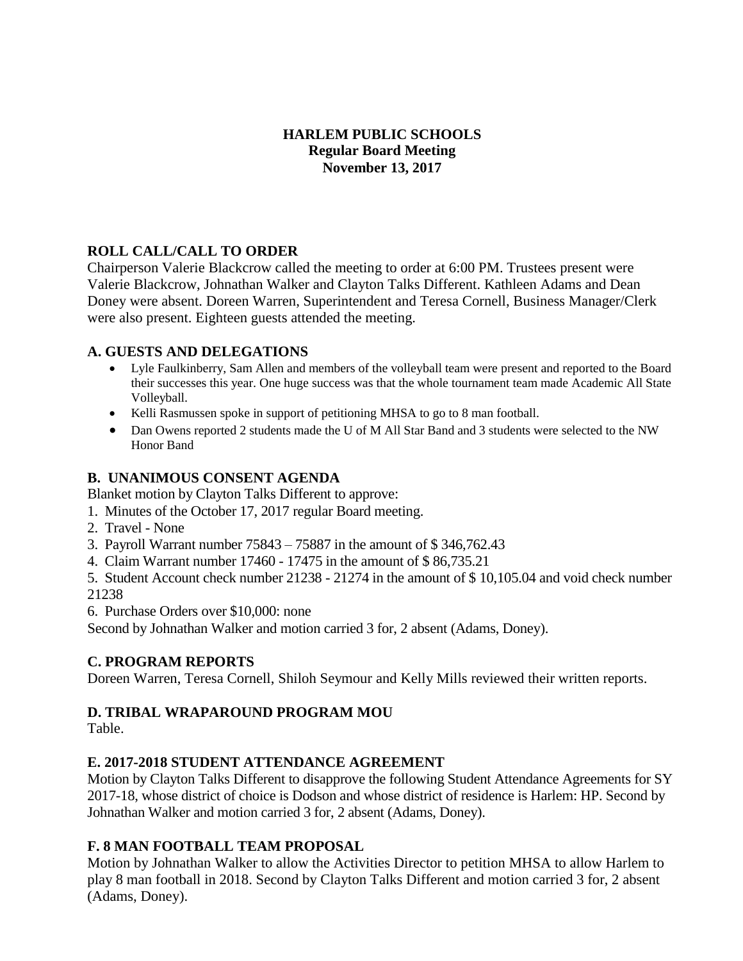## **HARLEM PUBLIC SCHOOLS Regular Board Meeting November 13, 2017**

## **ROLL CALL/CALL TO ORDER**

Chairperson Valerie Blackcrow called the meeting to order at 6:00 PM. Trustees present were Valerie Blackcrow, Johnathan Walker and Clayton Talks Different. Kathleen Adams and Dean Doney were absent. Doreen Warren, Superintendent and Teresa Cornell, Business Manager/Clerk were also present. Eighteen guests attended the meeting.

#### **A. GUESTS AND DELEGATIONS**

- Lyle Faulkinberry, Sam Allen and members of the volleyball team were present and reported to the Board their successes this year. One huge success was that the whole tournament team made Academic All State Volleyball.
- Kelli Rasmussen spoke in support of petitioning MHSA to go to 8 man football.
- Dan Owens reported 2 students made the U of M All Star Band and 3 students were selected to the NW Honor Band

## **B. UNANIMOUS CONSENT AGENDA**

Blanket motion by Clayton Talks Different to approve:

- 1. Minutes of the October 17, 2017 regular Board meeting.
- 2. Travel None
- 3. Payroll Warrant number 75843 75887 in the amount of \$ 346,762.43
- 4. Claim Warrant number 17460 17475 in the amount of \$ 86,735.21
- 5. Student Account check number 21238 21274 in the amount of \$ 10,105.04 and void check number 21238
- 6. Purchase Orders over \$10,000: none

Second by Johnathan Walker and motion carried 3 for, 2 absent (Adams, Doney).

## **C. PROGRAM REPORTS**

Doreen Warren, Teresa Cornell, Shiloh Seymour and Kelly Mills reviewed their written reports.

## **D. TRIBAL WRAPAROUND PROGRAM MOU**

Table.

## **E. 2017-2018 STUDENT ATTENDANCE AGREEMENT**

Motion by Clayton Talks Different to disapprove the following Student Attendance Agreements for SY 2017-18, whose district of choice is Dodson and whose district of residence is Harlem: HP. Second by Johnathan Walker and motion carried 3 for, 2 absent (Adams, Doney).

## **F. 8 MAN FOOTBALL TEAM PROPOSAL**

Motion by Johnathan Walker to allow the Activities Director to petition MHSA to allow Harlem to play 8 man football in 2018. Second by Clayton Talks Different and motion carried 3 for, 2 absent (Adams, Doney).